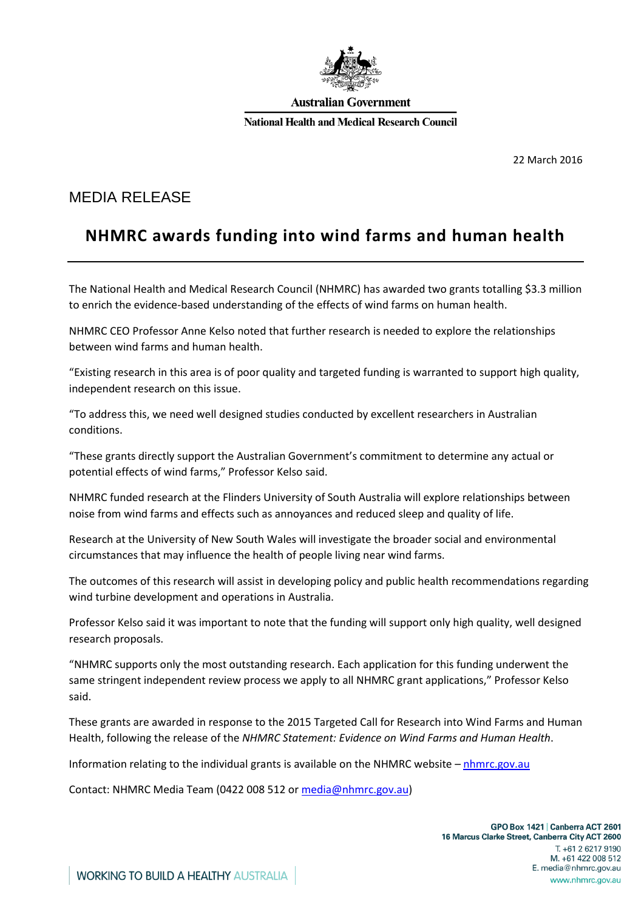

#### **Australian Government**

**National Health and Medical Research Council** 

22 March 2016

### MEDIA RELEASE

# **NHMRC awards funding into wind farms and human health**

The National Health and Medical Research Council (NHMRC) has awarded two grants totalling \$3.3 million to enrich the evidence-based understanding of the effects of wind farms on human health.

NHMRC CEO Professor Anne Kelso noted that further research is needed to explore the relationships between wind farms and human health.

"Existing research in this area is of poor quality and targeted funding is warranted to support high quality, independent research on this issue.

"To address this, we need well designed studies conducted by excellent researchers in Australian conditions.

"These grants directly support the Australian Government's commitment to determine any actual or potential effects of wind farms," Professor Kelso said.

NHMRC funded research at the Flinders University of South Australia will explore relationships between noise from wind farms and effects such as annoyances and reduced sleep and quality of life.

Research at the University of New South Wales will investigate the broader social and environmental circumstances that may influence the health of people living near wind farms.

The outcomes of this research will assist in developing policy and public health recommendations regarding wind turbine development and operations in Australia.

Professor Kelso said it was important to note that the funding will support only high quality, well designed research proposals.

"NHMRC supports only the most outstanding research. Each application for this funding underwent the same stringent independent review process we apply to all NHMRC grant applications," Professor Kelso said.

These grants are awarded in response to the 2015 Targeted Call for Research into Wind Farms and Human Health, following the release of the *NHMRC Statement: Evidence on Wind Farms and Human Health*.

Information relating to the individual grants is available on the NHMRC website – [nhmrc.gov.au](http://www.nhmrc.gov.au/)

Contact: NHMRC Media Team (0422 008 512 or [media@nhmrc.gov.au\)](mailto:media@nhmrc.gov.au)